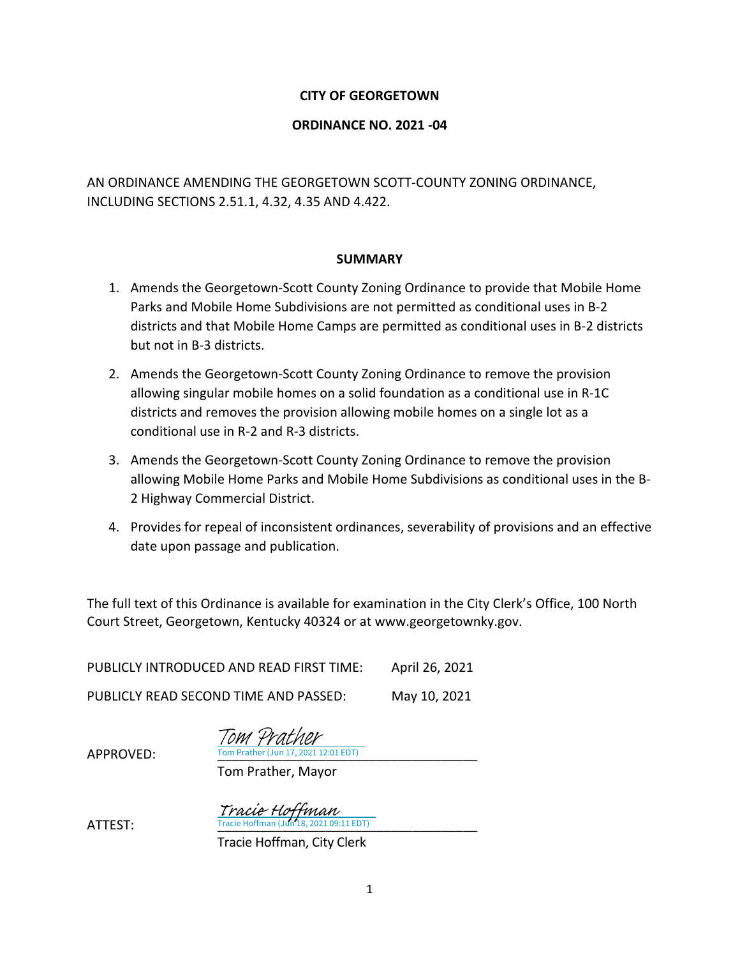#### **CITY OF GEORGETOWN**

#### **ORDINANCE NO. 2021 -04**

AN ORDINANCE AMENDING THE GEORGETOWN SCOTT-COUNTY ZONING ORDINANCE, INCLUDING SECTIONS 2.51.1, 4.32, 4.35 AND 4.422.

#### **SUMMARY**

- 1. Amends the Georgetown-Scott County Zoning Ordinance to provide that Mobile Home Parks and Mobile Home Subdivisions are not permitted as conditional uses in B-2 districts and that Mobile Home Camps are permitted as conditional uses in B-2 districts but not in B-3 districts.
- 2. Amends the Georgetown-Scott County Zoning Ordinance to remove the provision allowing singular mobile homes on a solid foundation as a conditional use in R-1C districts and removes the provision allowing mobile homes on a single lot as a conditional use in R-2 and R-3 districts.
- 3. Amends the Georgetown-Scott County Zoning Ordinance to remove the provision allowing Mobile Home Parks and Mobile Home Subdivisions as conditional uses in the B-2 Highway Commercial District.
- 4. Provides for repeal of inconsistent ordinances, severability of provisions and an effective date upon passage and publication.

The full text of this Ordinance is available for examination in the City Clerk's Office, 100 North Court Street, Georgetown, Kentucky 40324 or at www.georgetownky.gov.

PUBLICLY INTRODUCED AND READ FIRST TIME: April 26, 2021 PUBLICLY READ SECOND TIME AND PASSED: May 10, 2021

> Tom Prather (Jun 17, 2021 12:01 EDT) Tom Prather

 $APPROVED:$ 

Tom Prather, Mayor

**ATTEST:** Tracie Hoffman (Jun 18, 2021 09:11 EDT) Tracie Hoffman

Tracie Hoffman, City Clerk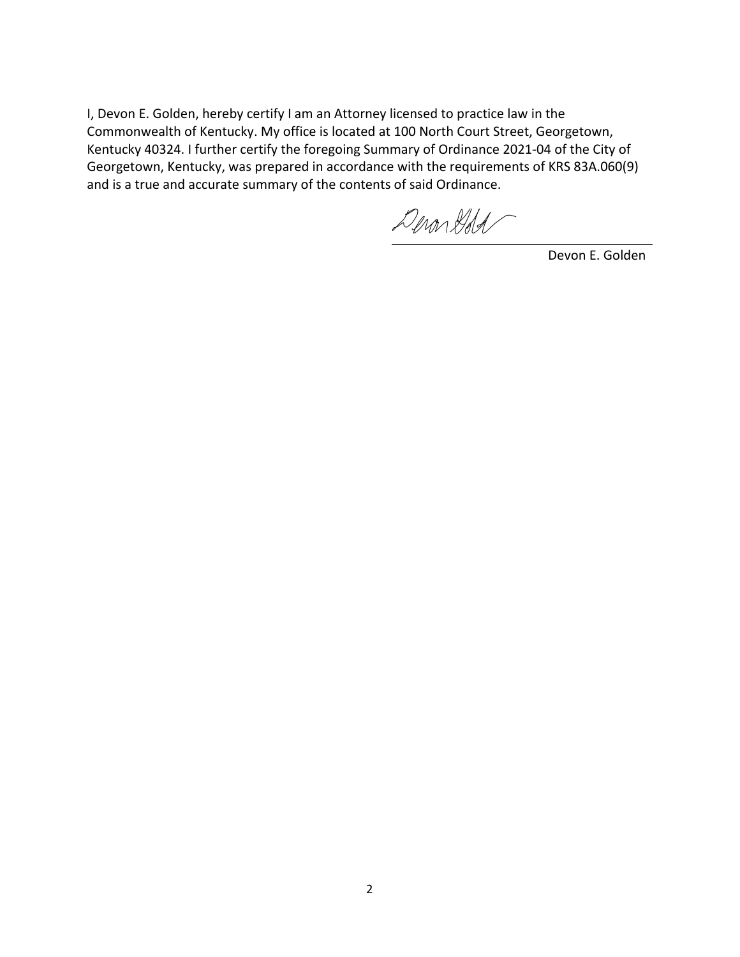I, Devon E. Golden, hereby certify I am an Attorney licensed to practice law in the Commonwealth of Kentucky. My office is located at 100 North Court Street, Georgetown, Kentucky 40324. I further certify the foregoing Summary of Ordinance 2021-04 of the City of Georgetown, Kentucky, was prepared in accordance with the requirements of KRS 83A.060(9) and is a true and accurate summary of the contents of said Ordinance.

DeronGold

Devon E. Golden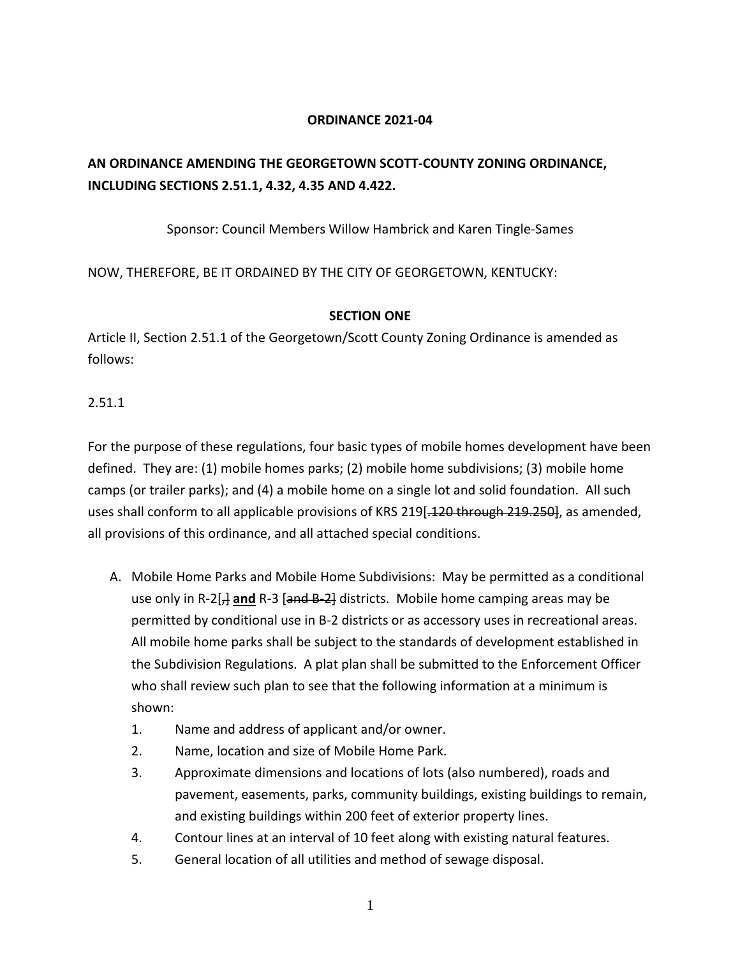#### **ORDINANCE 2021-04**

### **AN ORDINANCE AMENDING THE GEORGETOWN SCOTT-COUNTY ZONING ORDINANCE, INCLUDING SECTIONS 2.51.1, 4.32, 4.35 AND 4.422.**

Sponsor: Council Members Willow Hambrick and Karen Tingle-Sames

NOW, THEREFORE, BE IT ORDAINED BY THE CITY OF GEORGETOWN, KENTUCKY:

#### **SECTION ONE**

Article II, Section 2.51.1 of the Georgetown/Scott County Zoning Ordinance is amended as follows:

2.51.1

For the purpose of these regulations, four basic types of mobile homes development have been defined. They are: (1) mobile homes parks; (2) mobile home subdivisions; (3) mobile home camps (or trailer parks); and (4) a mobile home on a single lot and solid foundation. All such uses shall conform to all applicable provisions of KRS 219[-120 through 219.250], as amended, all provisions of this ordinance, and all attached special conditions.

- A. Mobile Home Parks and Mobile Home Subdivisions: May be permitted as a conditional use only in R-2[<sub>7</sub>] and R-3 [and B-2] districts. Mobile home camping areas may be permitted by conditional use in B-2 districts or as accessory uses in recreational areas. All mobile home parks shall be subject to the standards of development established in the Subdivision Regulations. A plat plan shall be submitted to the Enforcement Officer who shall review such plan to see that the following information at a minimum is shown:
	- 1. Name and address of applicant and/or owner.
	- 2. Name, location and size of Mobile Home Park.
	- 3. Approximate dimensions and locations of lots (also numbered), roads and pavement, easements, parks, community buildings, existing buildings to remain, and existing buildings within 200 feet of exterior property lines.
	- 4. Contour lines at an interval of 10 feet along with existing natural features.
	- 5. General location of all utilities and method of sewage disposal.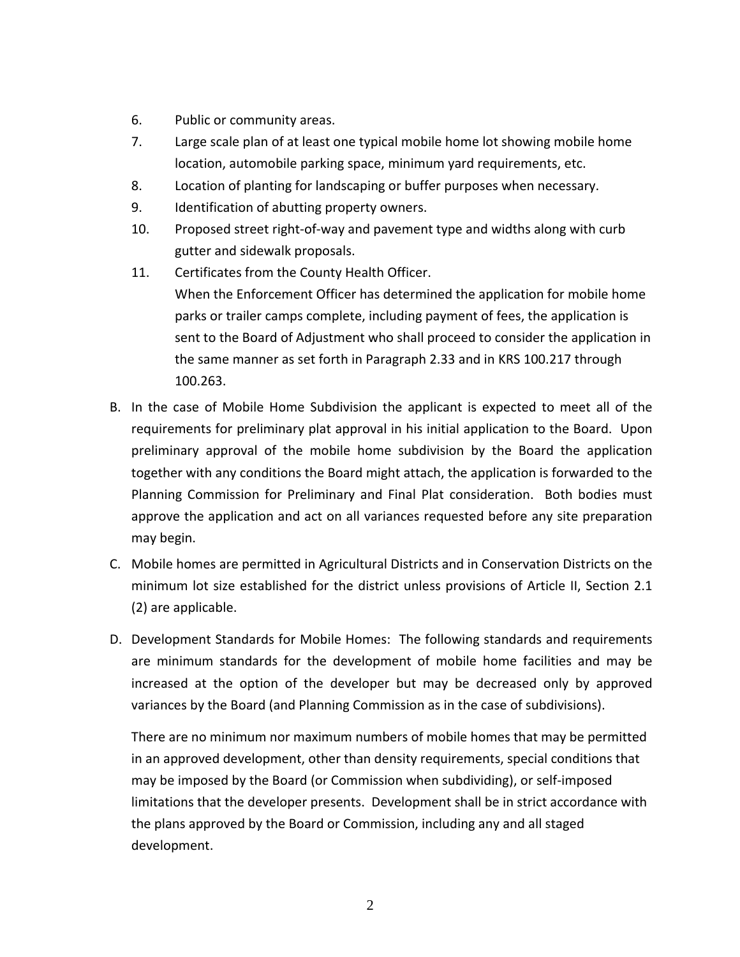- 6. Public or community areas.
- 7. Large scale plan of at least one typical mobile home lot showing mobile home location, automobile parking space, minimum yard requirements, etc.
- 8. Location of planting for landscaping or buffer purposes when necessary.
- 9. Identification of abutting property owners.
- 10. Proposed street right-of-way and pavement type and widths along with curb gutter and sidewalk proposals.
- 11. Certificates from the County Health Officer. When the Enforcement Officer has determined the application for mobile home parks or trailer camps complete, including payment of fees, the application is sent to the Board of Adjustment who shall proceed to consider the application in the same manner as set forth in Paragraph 2.33 and in KRS 100.217 through 100.263.
- B. In the case of Mobile Home Subdivision the applicant is expected to meet all of the requirements for preliminary plat approval in his initial application to the Board. Upon preliminary approval of the mobile home subdivision by the Board the application together with any conditions the Board might attach, the application is forwarded to the Planning Commission for Preliminary and Final Plat consideration. Both bodies must approve the application and act on all variances requested before any site preparation may begin.
- C. Mobile homes are permitted in Agricultural Districts and in Conservation Districts on the minimum lot size established for the district unless provisions of Article II, Section 2.1 (2) are applicable.
- D. Development Standards for Mobile Homes: The following standards and requirements are minimum standards for the development of mobile home facilities and may be increased at the option of the developer but may be decreased only by approved variances by the Board (and Planning Commission as in the case of subdivisions).

There are no minimum nor maximum numbers of mobile homes that may be permitted in an approved development, other than density requirements, special conditions that may be imposed by the Board (or Commission when subdividing), or self-imposed limitations that the developer presents. Development shall be in strict accordance with the plans approved by the Board or Commission, including any and all staged development.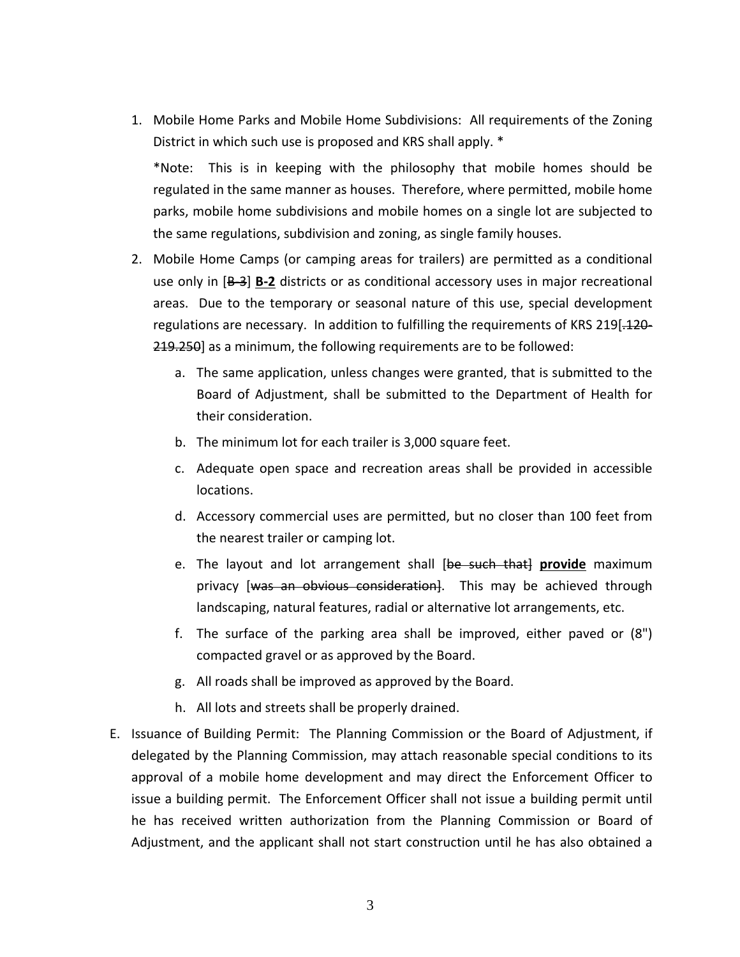1. Mobile Home Parks and Mobile Home Subdivisions: All requirements of the Zoning District in which such use is proposed and KRS shall apply. \*

\*Note: This is in keeping with the philosophy that mobile homes should be regulated in the same manner as houses. Therefore, where permitted, mobile home parks, mobile home subdivisions and mobile homes on a single lot are subjected to the same regulations, subdivision and zoning, as single family houses.

- 2. Mobile Home Camps (or camping areas for trailers) are permitted as a conditional use only in [B-3] **B-2** districts or as conditional accessory uses in major recreational areas. Due to the temporary or seasonal nature of this use, special development regulations are necessary. In addition to fulfilling the requirements of KRS 219.120-219.250] as a minimum, the following requirements are to be followed:
	- a. The same application, unless changes were granted, that is submitted to the Board of Adjustment, shall be submitted to the Department of Health for their consideration.
	- b. The minimum lot for each trailer is 3,000 square feet.
	- c. Adequate open space and recreation areas shall be provided in accessible locations.
	- d. Accessory commercial uses are permitted, but no closer than 100 feet from the nearest trailer or camping lot.
	- e. The layout and lot arrangement shall [be such that] provide maximum privacy [was an obvious consideration]. This may be achieved through landscaping, natural features, radial or alternative lot arrangements, etc.
	- f. The surface of the parking area shall be improved, either paved or (8") compacted gravel or as approved by the Board.
	- g. All roads shall be improved as approved by the Board.
	- h. All lots and streets shall be properly drained.
- E. Issuance of Building Permit: The Planning Commission or the Board of Adjustment, if delegated by the Planning Commission, may attach reasonable special conditions to its approval of a mobile home development and may direct the Enforcement Officer to issue a building permit. The Enforcement Officer shall not issue a building permit until he has received written authorization from the Planning Commission or Board of Adjustment, and the applicant shall not start construction until he has also obtained a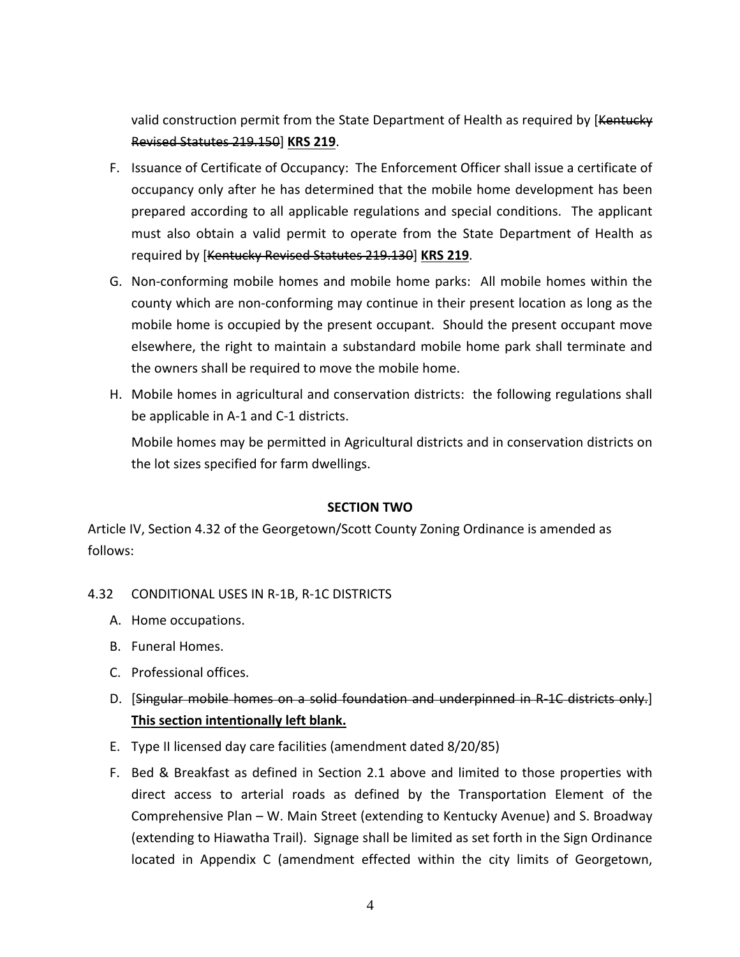valid construction permit from the State Department of Health as required by [Kentucky] Revised Statutes 219.150] **KRS 219**.

- F. Issuance of Certificate of Occupancy: The Enforcement Officer shall issue a certificate of occupancy only after he has determined that the mobile home development has been prepared according to all applicable regulations and special conditions. The applicant must also obtain a valid permit to operate from the State Department of Health as required by [Kentucky Revised Statutes 219.130] **KRS 219**.
- G. Non-conforming mobile homes and mobile home parks: All mobile homes within the county which are non-conforming may continue in their present location as long as the mobile home is occupied by the present occupant. Should the present occupant move elsewhere, the right to maintain a substandard mobile home park shall terminate and the owners shall be required to move the mobile home.
- H. Mobile homes in agricultural and conservation districts: the following regulations shall be applicable in A-1 and C-1 districts.

Mobile homes may be permitted in Agricultural districts and in conservation districts on the lot sizes specified for farm dwellings.

#### **SECTION TWO**

Article IV, Section 4.32 of the Georgetown/Scott County Zoning Ordinance is amended as follows:

#### 4.32 CONDITIONAL USES IN R-1B, R-1C DISTRICTS

- A. Home occupations.
- B. Funeral Homes.
- C. Professional offices.
- D. [Singular mobile homes on a solid foundation and underpinned in R-1C districts only.] **This section intentionally left blank.**
- E. Type II licensed day care facilities (amendment dated 8/20/85)
- F. Bed & Breakfast as defined in Section 2.1 above and limited to those properties with direct access to arterial roads as defined by the Transportation Element of the Comprehensive Plan – W. Main Street (extending to Kentucky Avenue) and S. Broadway (extending to Hiawatha Trail). Signage shall be limited as set forth in the Sign Ordinance located in Appendix C (amendment effected within the city limits of Georgetown,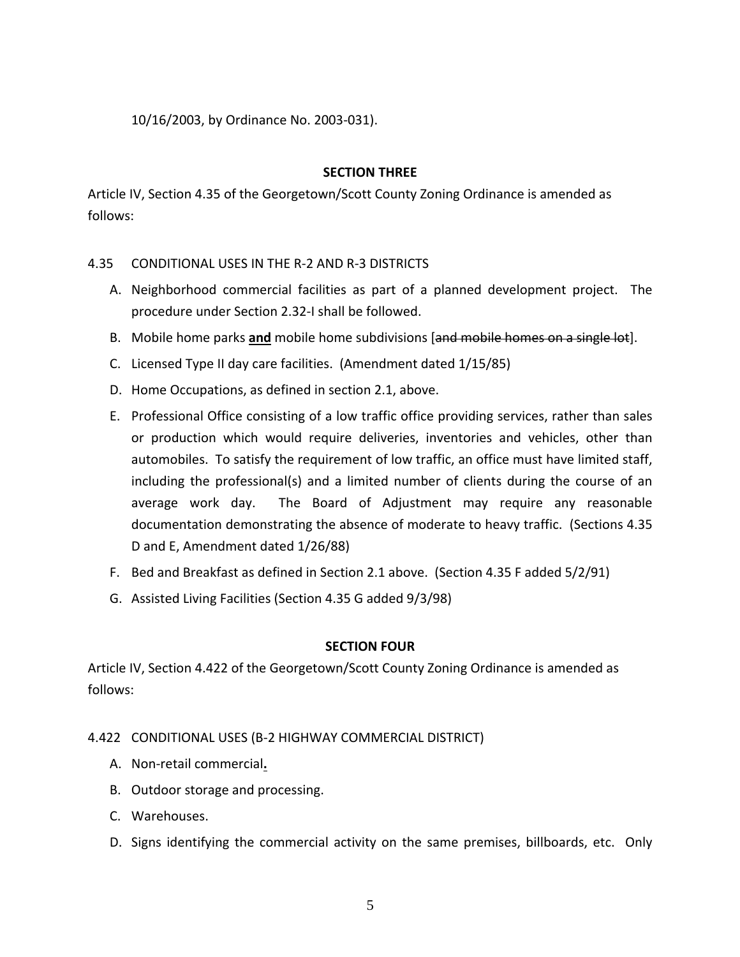10/16/2003, by Ordinance No. 2003-031).

#### **SECTION THREE**

Article IV, Section 4.35 of the Georgetown/Scott County Zoning Ordinance is amended as follows:

#### 4.35 CONDITIONAL USES IN THE R-2 AND R-3 DISTRICTS

- A. Neighborhood commercial facilities as part of a planned development project. The procedure under Section 2.32-I shall be followed.
- B. Mobile home parks **and** mobile home subdivisions [and mobile homes on a single lot].
- C. Licensed Type II day care facilities. (Amendment dated 1/15/85)
- D. Home Occupations, as defined in section 2.1, above.
- E. Professional Office consisting of a low traffic office providing services, rather than sales or production which would require deliveries, inventories and vehicles, other than automobiles. To satisfy the requirement of low traffic, an office must have limited staff, including the professional(s) and a limited number of clients during the course of an average work day. The Board of Adjustment may require any reasonable documentation demonstrating the absence of moderate to heavy traffic. (Sections 4.35 D and E, Amendment dated 1/26/88)
- F. Bed and Breakfast as defined in Section 2.1 above. (Section 4.35 F added 5/2/91)
- G. Assisted Living Facilities (Section 4.35 G added 9/3/98)

#### **SECTION FOUR**

Article IV, Section 4.422 of the Georgetown/Scott County Zoning Ordinance is amended as follows:

#### 4.422 CONDITIONAL USES (B-2 HIGHWAY COMMERCIAL DISTRICT)

- A. Non-retail commercial**.**
- B. Outdoor storage and processing.
- C. Warehouses.
- D. Signs identifying the commercial activity on the same premises, billboards, etc. Only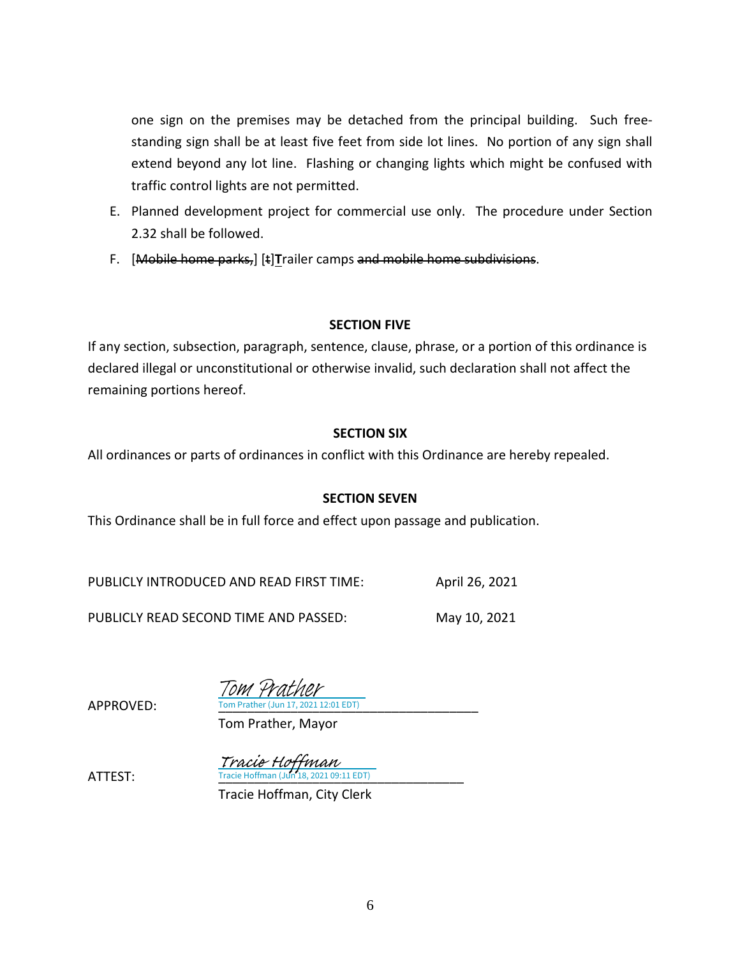one sign on the premises may be detached from the principal building. Such freestanding sign shall be at least five feet from side lot lines. No portion of any sign shall extend beyond any lot line. Flashing or changing lights which might be confused with traffic control lights are not permitted.

- E. Planned development project for commercial use only. The procedure under Section 2.32 shall be followed.
- F. [Mobile home parks,] [t]**T**railer camps and mobile home subdivisions.

#### **SECTION FIVE**

If any section, subsection, paragraph, sentence, clause, phrase, or a portion of this ordinance is declared illegal or unconstitutional or otherwise invalid, such declaration shall not affect the remaining portions hereof.

#### **SECTION SIX**

All ordinances or parts of ordinances in conflict with this Ordinance are hereby repealed.

#### **SECTION SEVEN**

This Ordinance shall be in full force and effect upon passage and publication.

PUBLICLY INTRODUCED AND READ FIRST TIME: April 26, 2021

PUBLICLY READ SECOND TIME AND PASSED: May 10, 2021

APPROVED:

ATTEST: [\\_\\_\\_\\_\\_\\_\\_\\_\\_\\_\\_\\_\\_\\_\\_\\_\\_\\_\\_\\_\\_\\_\\_\\_\\_\\_\\_\\_\\_\\_\\_\\_\\_\\_](https://na1.documents.adobe.com/verifier?tx=CBJCHBCAABAARa4yBvpDsLerQh4tqZKm_sukbKnf4AsJ)

Tom Prather (Jun 17, 2021 12:01 EDT) Tom Prather

Tom Prather, Mayor

Tracie Hoffman (Jun 18, 2021 09:11 EDT) Tracie Hoffman

Tracie Hoffman, City Clerk